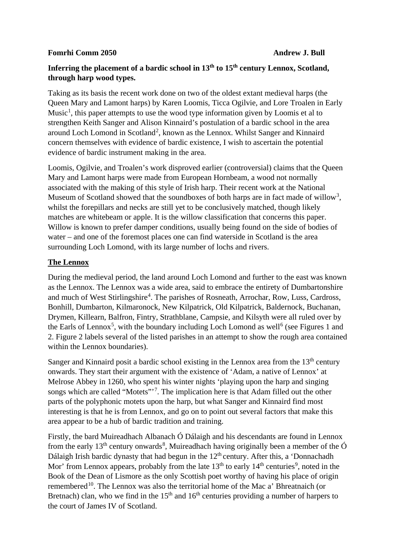#### **Fomrhi Comm 2050 Andrew J. Bull**

# **Inferring the placement of a bardic school in 13th to 15th century Lennox, Scotland, through harp wood types.**

Taking as its basis the recent work done on two of the oldest extant medieval harps (the Queen Mary and Lamont harps) by Karen Loomis, Ticca Ogilvie, and Lore Troalen in Early Music<sup>[1](#page-2-0)</sup>, this paper attempts to use the wood type information given by Loomis et al to strengthen Keith Sanger and Alison Kinnaird's postulation of a bardic school in the area around Loch Lomond in Scotland<sup>[2](#page-2-1)</sup>, known as the Lennox. Whilst Sanger and Kinnaird concern themselves with evidence of bardic existence, I wish to ascertain the potential evidence of bardic instrument making in the area.

Loomis, Ogilvie, and Troalen's work disproved earlier (controversial) claims that the Queen Mary and Lamont harps were made from European Hornbeam, a wood not normally associated with the making of this style of Irish harp. Their recent work at the National Museum of Scotland showed that the soundboxes of both harps are in fact made of willow<sup>[3](#page-2-2)</sup>, whilst the forepillars and necks are still yet to be conclusively matched, though likely matches are whitebeam or apple. It is the willow classification that concerns this paper. Willow is known to prefer damper conditions, usually being found on the side of bodies of water – and one of the foremost places one can find waterside in Scotland is the area surrounding Loch Lomond, with its large number of lochs and rivers.

# **The Lennox**

During the medieval period, the land around Loch Lomond and further to the east was known as the Lennox. The Lennox was a wide area, said to embrace the entirety of Dumbartonshire and much of West Stirlingshire<sup>[4](#page-3-0)</sup>. The parishes of Rosneath, Arrochar, Row, Luss, Cardross, Bonhill, Dumbarton, Kilmaronock, New Kilpatrick, Old Kilpatrick, Baldernock, Buchanan, Drymen, Killearn, Balfron, Fintry, Strathblane, Campsie, and Kilsyth were all ruled over by the Earls of Lennox<sup>[5](#page-3-1)</sup>, with the boundary including Loch Lomond as well<sup>[6](#page-3-2)</sup> (see Figures 1 and 2. Figure 2 labels several of the listed parishes in an attempt to show the rough area contained within the Lennox boundaries).

Sanger and Kinnaird posit a bardic school existing in the Lennox area from the  $13<sup>th</sup>$  century onwards. They start their argument with the existence of 'Adam, a native of Lennox' at Melrose Abbey in 1260, who spent his winter nights 'playing upon the harp and singing songs which are called "Motets"<sup>[7](#page-3-3)</sup>. The implication here is that Adam filled out the other parts of the polyphonic motets upon the harp, but what Sanger and Kinnaird find most interesting is that he is from Lennox, and go on to point out several factors that make this area appear to be a hub of bardic tradition and training.

Firstly, the bard Muireadhach Albanach Ó Dálaigh and his descendants are found in Lennox from the early 13<sup>th</sup> century onwards<sup>[8](#page-3-4)</sup>, Muireadhach having originally been a member of the  $\acute{O}$ Dálaigh Irish bardic dynasty that had begun in the  $12<sup>th</sup>$  century. After this, a 'Donnachadh Mor' from Lennox appears, probably from the late  $13<sup>th</sup>$  to early  $14<sup>th</sup>$  centuries<sup>[9](#page-3-5)</sup>, noted in the Book of the Dean of Lismore as the only Scottish poet worthy of having his place of origin remembered<sup>10</sup>. The Lennox was also the territorial home of the Mac a' Bhreatnaich (or Bretnach) clan, who we find in the  $15<sup>th</sup>$  and  $16<sup>th</sup>$  centuries providing a number of harpers to the court of James IV of Scotland.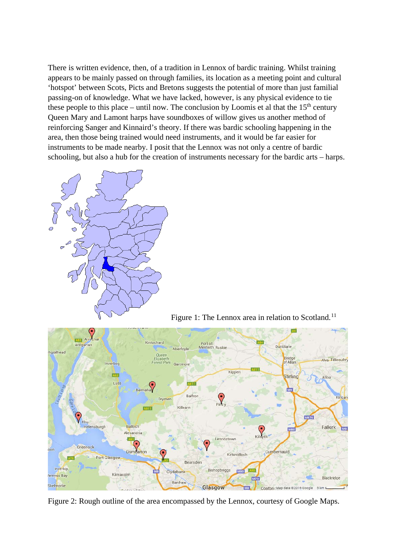There is written evidence, then, of a tradition in Lennox of bardic training. Whilst training appears to be mainly passed on through families, its location as a meeting point and cultural 'hotspot' between Scots, Picts and Bretons suggests the potential of more than just familial passing-on of knowledge. What we have lacked, however, is any physical evidence to tie these people to this place – until now. The conclusion by Loomis et al that the  $15<sup>th</sup>$  century Queen Mary and Lamont harps have soundboxes of willow gives us another method of reinforcing Sanger and Kinnaird's theory. If there was bardic schooling happening in the area, then those being trained would need instruments, and it would be far easier for instruments to be made nearby. I posit that the Lennox was not only a centre of bardic schooling, but also a hub for the creation of instruments necessary for the bardic arts – harps.



Figure 1: The Lennox area in relation to Scotland.<sup>[11](#page-3-7)</sup>



Figure 2: Rough outline of the area encompassed by the Lennox, courtesy of Google Maps.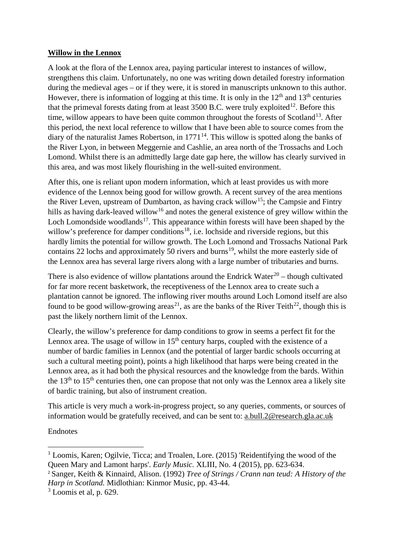# **Willow in the Lennox**

A look at the flora of the Lennox area, paying particular interest to instances of willow, strengthens this claim. Unfortunately, no one was writing down detailed forestry information during the medieval ages – or if they were, it is stored in manuscripts unknown to this author. However, there is information of logging at this time. It is only in the  $12<sup>th</sup>$  and  $13<sup>th</sup>$  centuries that the primeval forests dating from at least  $3500$  B.C. were truly exploited<sup>[12](#page-3-8)</sup>. Before this time, willow appears to have been quite common throughout the forests of Scotland<sup>13</sup>. After this period, the next local reference to willow that I have been able to source comes from the diary of the naturalist James Robertson, in  $1771<sup>14</sup>$ . This willow is spotted along the banks of the River Lyon, in between Meggernie and Cashlie, an area north of the Trossachs and Loch Lomond. Whilst there is an admittedly large date gap here, the willow has clearly survived in this area, and was most likely flourishing in the well-suited environment.

After this, one is reliant upon modern information, which at least provides us with more evidence of the Lennox being good for willow growth. A recent survey of the area mentions the River Leven, upstream of Dumbarton, as having crack willow<sup>[15](#page-3-11)</sup>; the Campsie and Fintry hills as having dark-leaved willow<sup>[16](#page-3-12)</sup> and notes the general existence of grey willow within the Loch Lomondside woodlands<sup>[17](#page-3-13)</sup>. This appearance within forests will have been shaped by the willow's preference for damper conditions<sup>[18](#page-3-14)</sup>, i.e. lochside and riverside regions, but this hardly limits the potential for willow growth. The Loch Lomond and Trossachs National Park contains 22 lochs and approximately 50 rivers and burns<sup>19</sup>, whilst the more easterly side of the Lennox area has several large rivers along with a large number of tributaries and burns.

There is also evidence of willow plantations around the Endrick Water<sup>[20](#page-3-16)</sup> – though cultivated for far more recent basketwork, the receptiveness of the Lennox area to create such a plantation cannot be ignored. The inflowing river mouths around Loch Lomond itself are also found to be good willow-growing areas<sup>[21](#page-3-17)</sup>, as are the banks of the River Teith<sup>22</sup>, though this is past the likely northern limit of the Lennox.

Clearly, the willow's preference for damp conditions to grow in seems a perfect fit for the Lennox area. The usage of willow in  $15<sup>th</sup>$  century harps, coupled with the existence of a number of bardic families in Lennox (and the potential of larger bardic schools occurring at such a cultural meeting point), points a high likelihood that harps were being created in the Lennox area, as it had both the physical resources and the knowledge from the bards. Within the  $13<sup>th</sup>$  to  $15<sup>th</sup>$  centuries then, one can propose that not only was the Lennox area a likely site of bardic training, but also of instrument creation.

This article is very much a work-in-progress project, so any queries, comments, or sources of information would be gratefully received, and can be sent to: a.bull.2@research.gla.ac.uk

# Endnotes

 $\overline{a}$ 

<span id="page-2-0"></span> $1$  Loomis, Karen; Ogilvie, Ticca; and Troalen, Lore. (2015) 'Reidentifying the wood of the Queen Mary and Lamont harps'. *Early Music.* XLIII, No. 4 (2015), pp. 623-634.

<span id="page-2-1"></span><sup>2</sup> Sanger, Keith & Kinnaird, Alison. (1992) *Tree of Strings / Crann nan teud: A History of the Harp in Scotland.* Midlothian: Kinmor Music, pp. 43-44.

<span id="page-2-2"></span> $3$  Loomis et al, p. 629.